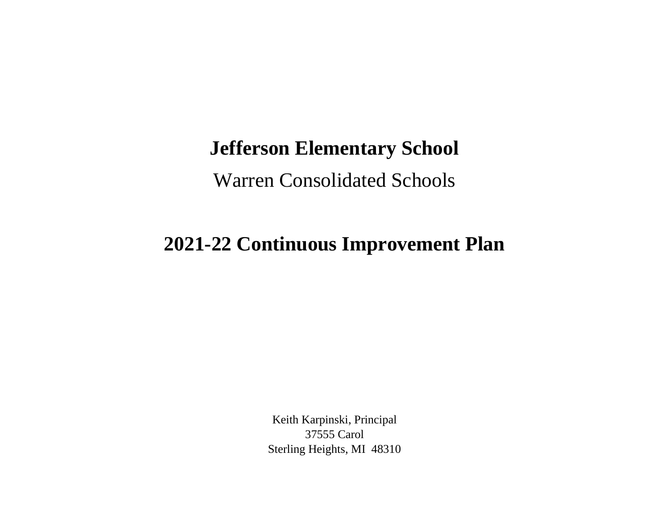## **Jefferson Elementary School**

Warren Consolidated Schools

## **2021-22 Continuous Improvement Plan**

Keith Karpinski, Principal 37555 Carol Sterling Heights, MI 48310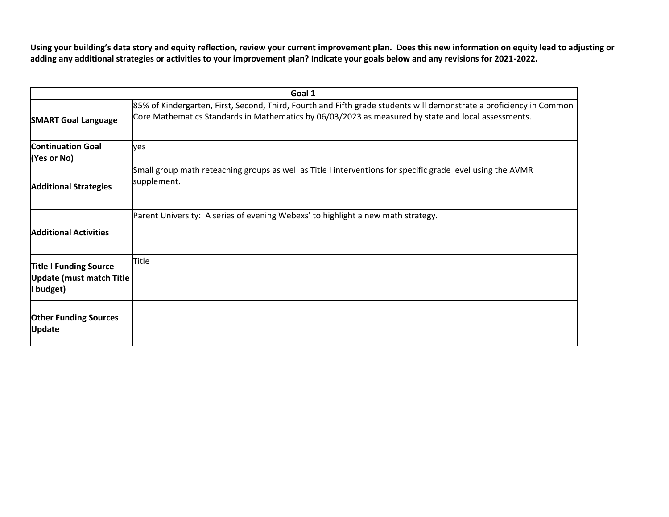**Using your building's data story and equity reflection, review your current improvement plan. Does this new information on equity lead to adjusting or adding any additional strategies or activities to your improvement plan? Indicate your goals below and any revisions for 2021-2022.**

| Goal 1                                                                        |                                                                                                                                                                                                                            |  |
|-------------------------------------------------------------------------------|----------------------------------------------------------------------------------------------------------------------------------------------------------------------------------------------------------------------------|--|
| <b>SMART Goal Language</b>                                                    | 85% of Kindergarten, First, Second, Third, Fourth and Fifth grade students will demonstrate a proficiency in Common<br>Core Mathematics Standards in Mathematics by 06/03/2023 as measured by state and local assessments. |  |
| <b>Continuation Goal</b><br>(Yes or No)                                       | ves                                                                                                                                                                                                                        |  |
| <b>Additional Strategies</b>                                                  | Small group math reteaching groups as well as Title I interventions for specific grade level using the AVMR<br>supplement.                                                                                                 |  |
| <b>Additional Activities</b>                                                  | Parent University: A series of evening Webexs' to highlight a new math strategy.                                                                                                                                           |  |
| <b>Title I Funding Source</b><br><b>Update (must match Title</b><br>I budget) | Title I                                                                                                                                                                                                                    |  |
| <b>Other Funding Sources</b><br><b>Update</b>                                 |                                                                                                                                                                                                                            |  |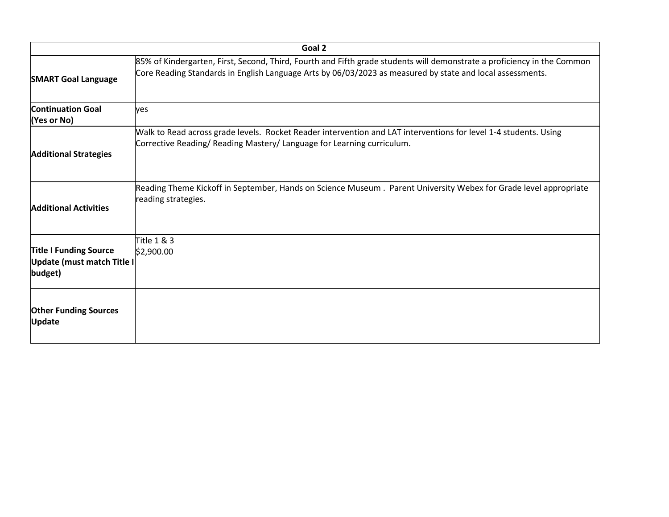| Goal 2                                                                 |                                                                                                                                                                                                                                      |  |
|------------------------------------------------------------------------|--------------------------------------------------------------------------------------------------------------------------------------------------------------------------------------------------------------------------------------|--|
| <b>SMART Goal Language</b>                                             | 85% of Kindergarten, First, Second, Third, Fourth and Fifth grade students will demonstrate a proficiency in the Common<br>Core Reading Standards in English Language Arts by 06/03/2023 as measured by state and local assessments. |  |
| <b>Continuation Goal</b><br>(Yes or No)                                | ves                                                                                                                                                                                                                                  |  |
| <b>Additional Strategies</b>                                           | Walk to Read across grade levels. Rocket Reader intervention and LAT interventions for level 1-4 students. Using<br>Corrective Reading/ Reading Mastery/ Language for Learning curriculum.                                           |  |
| <b>Additional Activities</b>                                           | Reading Theme Kickoff in September, Hands on Science Museum. Parent University Webex for Grade level appropriate<br>reading strategies.                                                                                              |  |
| <b>Title I Funding Source</b><br>Update (must match Title I<br>budget) | Title 1 & 3<br>\$2,900.00                                                                                                                                                                                                            |  |
| <b>Other Funding Sources</b><br><b>Update</b>                          |                                                                                                                                                                                                                                      |  |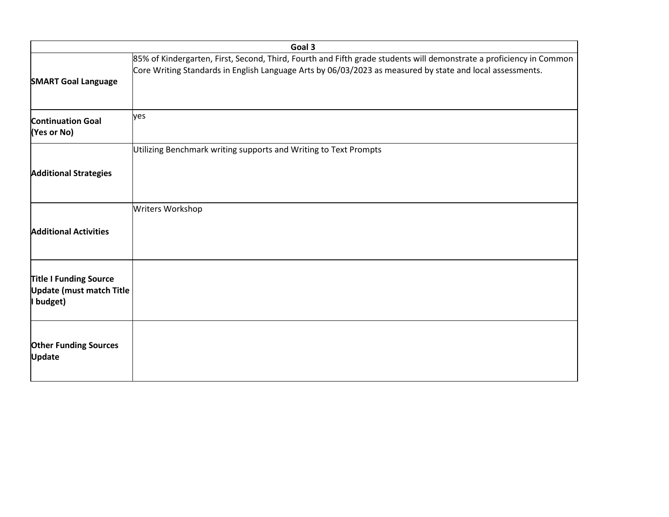|                                                                               | Goal 3                                                                                                                                                                                                                           |  |  |
|-------------------------------------------------------------------------------|----------------------------------------------------------------------------------------------------------------------------------------------------------------------------------------------------------------------------------|--|--|
| <b>SMART Goal Language</b>                                                    | 85% of Kindergarten, First, Second, Third, Fourth and Fifth grade students will demonstrate a proficiency in Common<br>Core Writing Standards in English Language Arts by 06/03/2023 as measured by state and local assessments. |  |  |
| <b>Continuation Goal</b><br>(Yes or No)                                       | yes                                                                                                                                                                                                                              |  |  |
|                                                                               | Utilizing Benchmark writing supports and Writing to Text Prompts                                                                                                                                                                 |  |  |
| <b>Additional Strategies</b>                                                  |                                                                                                                                                                                                                                  |  |  |
|                                                                               | Writers Workshop                                                                                                                                                                                                                 |  |  |
| <b>Additional Activities</b>                                                  |                                                                                                                                                                                                                                  |  |  |
| <b>Title I Funding Source</b><br><b>Update (must match Title</b><br>I budget) |                                                                                                                                                                                                                                  |  |  |
| <b>Other Funding Sources</b><br><b>Update</b>                                 |                                                                                                                                                                                                                                  |  |  |